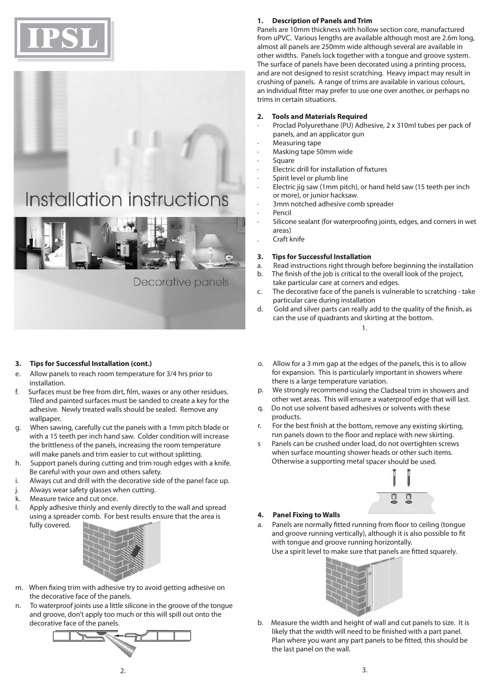



# Decorative panels

#### **3. Tips for Successful Installation (cont.)**

- e. Allow panels to reach room temperature for 3/4 hrs prior to installation.
- f. Surfaces must be free from dirt, film, waxes or any other residues. Tiled and painted surfaces must be sanded to create a key for the adhesive. Newly treated walls should be sealed. Remove any wallpaper.
- g. When sawing, carefully cut the panels with a 1mm pitch blade or with a 15 teeth per inch hand saw. Colder condition will increase the brittleness of the panels, increasing the room temperature will make panels and trim easier to cut without splitting.
- h. Support panels during cutting and trim rough edges with a knife. Be careful with your own and others safety.
- i. Always cut and drill with the decorative side of the panel face up.
- j. Always wear safety glasses when cutting.
- k. Measure twice and cut once.
- l. Apply adhesive thinly and evenly directly to the wall and spread using a spreader comb. For best results ensure that the area is fully covered.



- m. When fixing trim with adhesive try to avoid getting adhesive on the decorative face of the panels.
- n. To waterproof joints use a little silicone in the groove of the tongue and groove, don't apply too much or this will spill out onto the decorative face of the panels.



#### **1. Description of Panels and Trim**

Panels are 10mm thickness with hollow section core, manufactured from uPVC. Various lengths are available although most are 2.6m long, almost all panels are 250mm wide although several are available in other widths. Panels lock together with a tongue and groove system. The surface of panels have been decorated using a printing process, and are not designed to resist scratching. Heavy impact may result in crushing of panels. A range of trims are available in various colours, an individual fitter may prefer to use one over another, or perhaps no trims in certain situations.

#### **2. Tools and Materials Required**

- · Proclad Polyurethane (PU) Adhesive, 2 x 310ml tubes per pack of panels, and an applicator gun
- Measuring tape
- Masking tape 50mm wide
- · Square
- Electric drill for installation of fixtures
- Spirit level or plumb line
- Electric ijg saw (1mm pitch), or hand held saw (15 teeth per inch or more), or junior hacksaw.
- 3mm notched adhesive comb spreader
- Pencil
- Silicone sealant (for waterproofing joints, edges, and corners in wet areas)
- . Craft knife

#### **3. Tips for Successful Installation**

- a. Read instructions right through before beginning the installation
- b. The finish of the job is critical to the overall look of the project, take particular care at corners and edges.
	- c. The decorative face of the panels is vulnerable to scratching take particular care during installation
	- d. Gold and silver parts can really add to the quality of the finish, as can the use of quadrants and skirting at the bottom. 1.
	- o. Allow for a 3 mm gap at the edges of the panels, this is to allow for expansion. This is particularly important in showers where there is a large temperature variation.
	- p. We strongly recommend using the Cladseal trim in showers and other wet areas. This will ensure a waterproof edge that will last.
	- q. Do not use solvent based adhesives or solvents with these products.
	- r. For the best finish at the bottom, remove any existing skirting, run panels down to the floor and replace with new skirting.
	- Panels can be crushed under load, do not overtighten screws when surface mounting shower heads or other such items. Otherwise a supporting metal spacer should be used.



#### **4. Panel Fixing to Walls**

Panels are normally fitted running from floor to ceiling (tongue and groove running vertically), although it is also possible to fit with tongue and groove running horizontally. Use a spirit level to make sure that panels are fitted squarely.





b. Measure the width and height of wall and cut panels to size. It is likely that the width will need to be finished with a part panel. Plan where you want any part panels to be fitted, this should be the last panel on the wall.